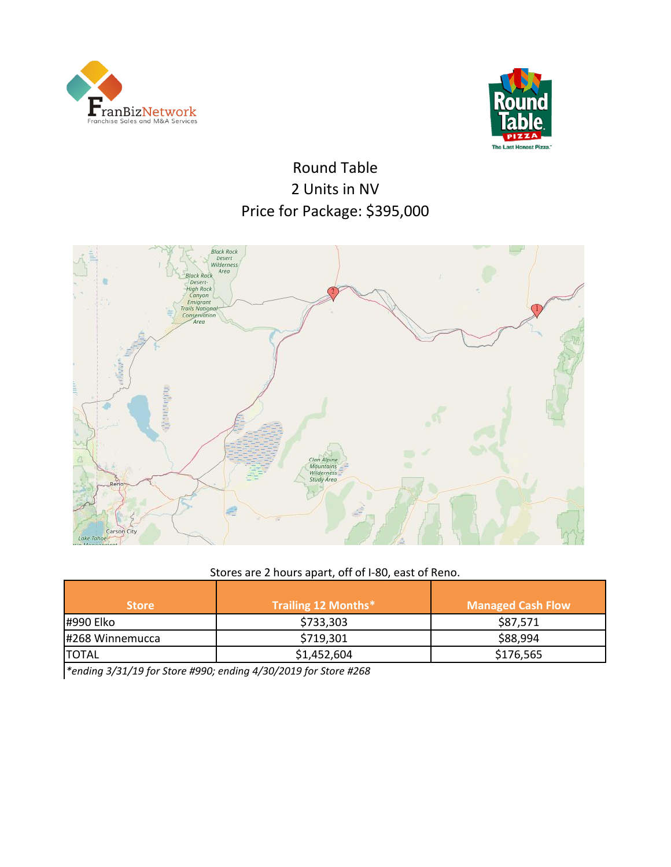



Round Table Price for Package: \$395,000 2 Units in NV



## Stores are 2 hours apart, off of I-80, east of Reno.

| <b>Store</b>    | Trailing 12 Months* | <b>Managed Cash Flow</b> |
|-----------------|---------------------|--------------------------|
| #990 Elko       | \$733,303           | \$87,571                 |
| #268 Winnemucca | \$719,301           | \$88,994                 |
| <b>TOTAL</b>    | \$1,452,604         | \$176,565                |

*\*ending 3/31/19 for Store #990; ending 4/30/2019 for Store #268*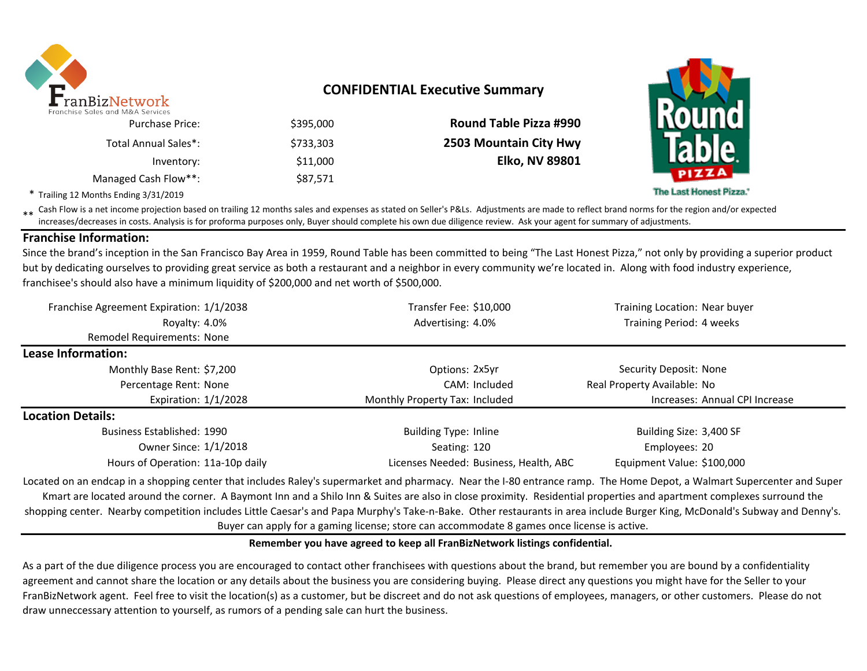

# **CONFIDENTIAL Executive Summary**

|                               |           | TIES AIIA IN AN SEI NICES |
|-------------------------------|-----------|---------------------------|
| <b>Round Table Pizza #990</b> | \$395,000 | <b>Purchase Price:</b>    |
| 2503 Mountain City Hwy        | \$733.303 | Total Annual Sales*:      |
| <b>Elko, NV 89801</b>         | \$11,000  | Inventory:                |
|                               | \$87,571  | Managed Cash Flow**:      |

\* Trailing 12 Months Ending 3/31/2019

\*\* Cash Flow is a net income projection based on trailing 12 months sales and expenses as stated on Seller's P&Ls. Adjustments are made to reflect brand norms for the region and/or expected in costs. Analysis is for profor increases/decreases in costs. Analysis is for proforma purposes only, Buyer should complete his own due diligence review. Ask your agent for summary of adjustments.

### **Franchise Information:**

Since the brand's inception in the San Francisco Bay Area in 1959, Round Table has been committed to being "The Last Honest Pizza," not only by providing a superior product but by dedicating ourselves to providing great service as both a restaurant and a neighbor in every community we're located in. Along with food industry experience, franchisee's should also have a minimum liquidity of \$200,000 and net worth of \$500,000.

| Franchise Agreement Expiration: 1/1/2038 | Transfer Fee: \$10,000                 | Training Location: Near buyer  |
|------------------------------------------|----------------------------------------|--------------------------------|
| Royalty: 4.0%                            | Advertising: 4.0%                      | Training Period: 4 weeks       |
| Remodel Requirements: None               |                                        |                                |
| Lease Information:                       |                                        |                                |
| Monthly Base Rent: \$7,200               | Options: 2x5yr                         | Security Deposit: None         |
| Percentage Rent: None                    | CAM: Included                          | Real Property Available: No    |
| Expiration: $1/1/2028$                   | Monthly Property Tax: Included         | Increases: Annual CPI Increase |
| <b>Location Details:</b>                 |                                        |                                |
| Business Established: 1990               | <b>Building Type: Inline</b>           | Building Size: 3,400 SF        |
| Owner Since: 1/1/2018                    | Seating: 120                           | Employees: 20                  |
| Hours of Operation: 11a-10p daily        | Licenses Needed: Business, Health, ABC | Equipment Value: \$100,000     |

Located on an endcap in a shopping center that includes Raley's supermarket and pharmacy. Near the I-80 entrance ramp. The Home Depot, a Walmart Supercenter and Super Kmart are located around the corner. A Baymont Inn and a Shilo Inn & Suites are also in close proximity. Residential properties and apartment complexes surround the shopping center. Nearby competition includes Little Caesar's and Papa Murphy's Take-n-Bake. Other restaurants in area include Burger King, McDonald's Subway and Denny's. Buyer can apply for a gaming license; store can accommodate 8 games once license is active.

### **Remember you have agreed to keep all FranBizNetwork listings confidential.**

As a part of the due diligence process you are encouraged to contact other franchisees with questions about the brand, but remember you are bound by a confidentiality agreement and cannot share the location or any details about the business you are considering buying. Please direct any questions you might have for the Seller to your FranBizNetwork agent. Feel free to visit the location(s) as a customer, but be discreet and do not ask questions of employees, managers, or other customers. Please do not draw unneccessary attention to yourself, as rumors of a pending sale can hurt the business.



The Last Honest Pizza.'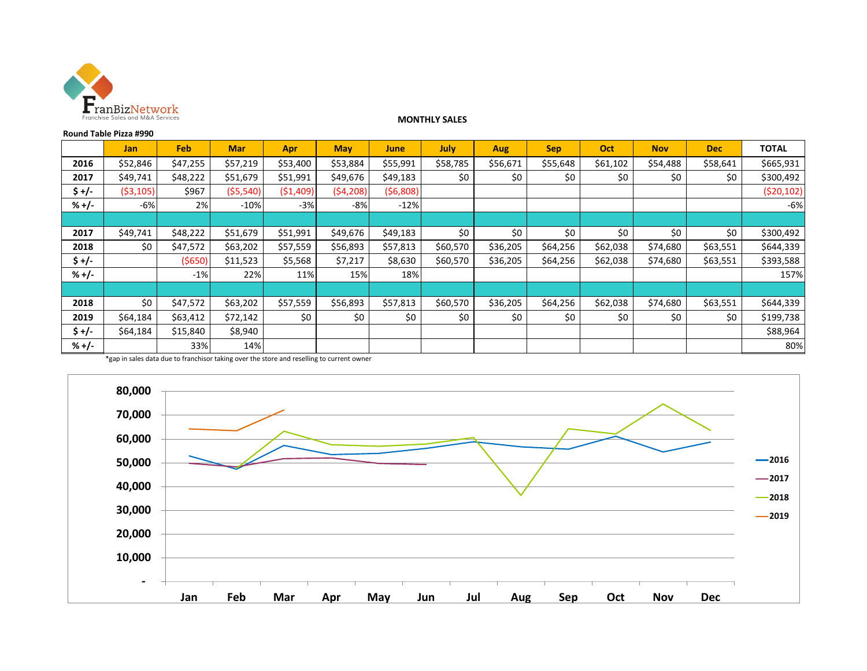

#### **MONTHLY SALES**

|         | Round Table Pizza #990 |            |            |           |            |          |             |            |            |          |            |            |              |
|---------|------------------------|------------|------------|-----------|------------|----------|-------------|------------|------------|----------|------------|------------|--------------|
|         | <b>Jan</b>             | <b>Feb</b> | <b>Mar</b> | Apr       | <b>May</b> | June     | <b>July</b> | <b>Aug</b> | <b>Sep</b> | Oct      | <b>Nov</b> | <b>Dec</b> | <b>TOTAL</b> |
| 2016    | \$52,846               | \$47,255   | \$57,219   | \$53,400  | \$53,884   | \$55,991 | \$58,785    | \$56,671   | \$55,648   | \$61,102 | \$54,488   | \$58,641   | \$665,931    |
| 2017    | \$49,741               | \$48,222   | \$51,679   | \$51,991  | \$49,676   | \$49,183 | \$0         | \$0        | \$0        | \$0      | \$0        | \$0        | \$300,492    |
| \$ +/-  | ( \$3,105)             | \$967      | ( \$5,540) | (51, 409) | (54, 208)  | (56,808) |             |            |            |          |            |            | (520, 102)   |
| $% +/-$ | -6%                    | 2%         | $-10%$     | $-3%$     | $-8%$      | $-12%$   |             |            |            |          |            |            | $-6%$        |
|         |                        |            |            |           |            |          |             |            |            |          |            |            |              |
| 2017    | \$49,741               | \$48,222   | \$51,679   | \$51,991  | \$49,676   | \$49,183 | \$0         | \$0        | \$0        | \$0      | \$0        | \$0        | \$300,492    |
| 2018    | \$0                    | \$47,572   | \$63,202   | \$57,559  | \$56,893   | \$57,813 | \$60,570    | \$36,205   | \$64,256   | \$62,038 | \$74,680   | \$63,551   | \$644,339    |
| $$+/-$  |                        | (5650)     | \$11,523   | \$5,568   | \$7,217    | \$8,630  | \$60,570    | \$36,205   | \$64,256   | \$62,038 | \$74,680   | \$63,551   | \$393,588    |
| $% +/-$ |                        | $-1%$      | 22%        | 11%       | 15%        | 18%      |             |            |            |          |            |            | 157%         |
|         |                        |            |            |           |            |          |             |            |            |          |            |            |              |
| 2018    | \$0                    | \$47,572   | \$63,202   | \$57,559  | \$56,893   | \$57,813 | \$60,570    | \$36,205   | \$64,256   | \$62,038 | \$74,680   | \$63,551   | \$644,339    |
| 2019    | \$64,184               | \$63,412   | \$72,142   | \$0       | \$0        | \$0      | \$0         | \$0        | \$0        | \$0      | \$0        | \$0        | \$199,738    |
| \$ +/-  | \$64,184               | \$15,840   | \$8,940    |           |            |          |             |            |            |          |            |            | \$88,964     |
| $% +/-$ |                        | 33%        | 14%        |           |            |          |             |            |            |          |            |            | 80%          |

\*gap in sales data due to franchisor taking over the store and reselling to current owner

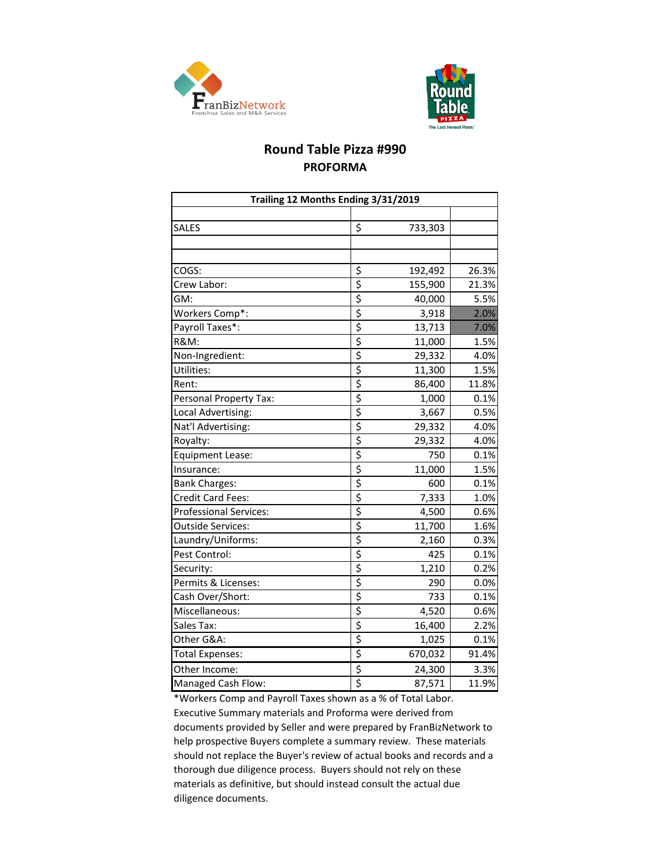



# **Round Table Pizza #990 PROFORMA**

| Trailing 12 Months Ending 3/31/2019 |                                     |         |       |  |  |  |  |
|-------------------------------------|-------------------------------------|---------|-------|--|--|--|--|
|                                     |                                     |         |       |  |  |  |  |
| SALES                               | \$                                  | 733,303 |       |  |  |  |  |
|                                     |                                     |         |       |  |  |  |  |
|                                     |                                     |         |       |  |  |  |  |
| COGS:                               | \$                                  | 192,492 | 26.3% |  |  |  |  |
| Crew Labor:                         | \$                                  | 155,900 | 21.3% |  |  |  |  |
| GM:                                 | \$                                  | 40,000  | 5.5%  |  |  |  |  |
| Workers Comp*:                      | \$                                  | 3,918   | 2.0%  |  |  |  |  |
| Payroll Taxes*:                     | \$                                  | 13,713  | 7.0%  |  |  |  |  |
| <b>R&amp;M:</b>                     | \$                                  | 11,000  | 1.5%  |  |  |  |  |
| Non-Ingredient:                     | \$                                  | 29,332  | 4.0%  |  |  |  |  |
| Utilities:                          | \$                                  | 11,300  | 1.5%  |  |  |  |  |
| Rent:                               | \$                                  | 86,400  | 11.8% |  |  |  |  |
| Personal Property Tax:              | \$                                  | 1,000   | 0.1%  |  |  |  |  |
| Local Advertising:                  | \$                                  | 3,667   | 0.5%  |  |  |  |  |
| Nat'l Advertising:                  | \$                                  | 29,332  | 4.0%  |  |  |  |  |
| Royalty:                            | \$                                  | 29,332  | 4.0%  |  |  |  |  |
| <b>Equipment Lease:</b>             | \$                                  | 750     | 0.1%  |  |  |  |  |
| Insurance:                          | \$                                  | 11,000  | 1.5%  |  |  |  |  |
| <b>Bank Charges:</b>                | \$                                  | 600     | 0.1%  |  |  |  |  |
| <b>Credit Card Fees:</b>            | \$                                  | 7,333   | 1.0%  |  |  |  |  |
| <b>Professional Services:</b>       | \$                                  | 4,500   | 0.6%  |  |  |  |  |
| <b>Outside Services:</b>            | \$                                  | 11,700  | 1.6%  |  |  |  |  |
| Laundry/Uniforms:                   | \$                                  | 2,160   | 0.3%  |  |  |  |  |
| Pest Control:                       | \$                                  | 425     | 0.1%  |  |  |  |  |
| Security:                           | \$                                  | 1,210   | 0.2%  |  |  |  |  |
| Permits & Licenses:                 | \$                                  | 290     | 0.0%  |  |  |  |  |
| Cash Over/Short:                    | \$                                  | 733     | 0.1%  |  |  |  |  |
| Miscellaneous:                      | \$                                  | 4,520   | 0.6%  |  |  |  |  |
| Sales Tax:                          | \$                                  | 16,400  | 2.2%  |  |  |  |  |
| Other G&A:                          | \$                                  | 1,025   | 0.1%  |  |  |  |  |
| <b>Total Expenses:</b>              | \$                                  | 670,032 | 91.4% |  |  |  |  |
| Other Income:                       | \$                                  | 24,300  | 3.3%  |  |  |  |  |
| Managed Cash Flow:                  | $\overline{\boldsymbol{\varsigma}}$ | 87,571  | 11.9% |  |  |  |  |

\*Workers Comp and Payroll Taxes shown as a % of Total Labor. Executive Summary materials and Proforma were derived from documents provided by Seller and were prepared by FranBizNetwork to help prospective Buyers complete a summary review. These materials should not replace the Buyer's review of actual books and records and a thorough due diligence process. Buyers should not rely on these materials as definitive, but should instead consult the actual due diligence documents.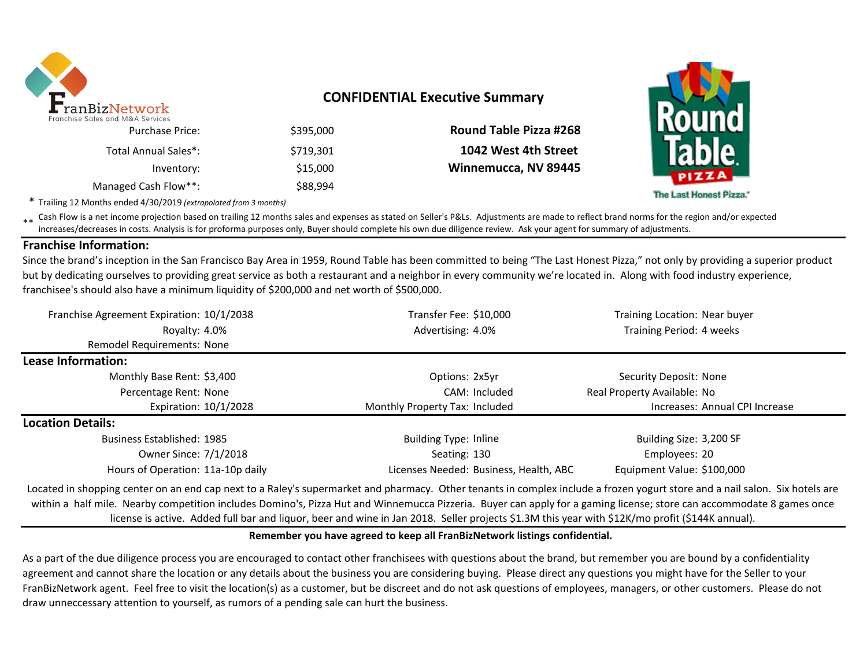

# **CONFIDENTIAL Executive Summary**

|                               |           | TES UITU IVILATI JEI VILES |
|-------------------------------|-----------|----------------------------|
| <b>Round Table Pizza #268</b> | \$395,000 | <b>Purchase Price:</b>     |
| 1042 West 4th Street          | \$719.301 | Total Annual Sales*:       |
| Winnemucca, NV 89445          | \$15,000  | Inventory:                 |
|                               | \$88,994  | Managed Cash Flow**:       |

The Last Honest Pizza.'

\* Trailing 12 Months ended 4/30/2019 *(extrapolated from 3 months)*

\*\* Cash Flow is a net income projection based on trailing 12 months sales and expenses as stated on Seller's P&Ls. Adjustments are made to reflect brand norms for the region and/or expected in costs. Analysis is for profor increases/decreases in costs. Analysis is for proforma purposes only, Buyer should complete his own due diligence review. Ask your agent for summary of adjustments.

### **Franchise Information:**

Since the brand's inception in the San Francisco Bay Area in 1959, Round Table has been committed to being "The Last Honest Pizza," not only by providing a superior product but by dedicating ourselves to providing great service as both a restaurant and a neighbor in every community we're located in. Along with food industry experience, franchisee's should also have a minimum liquidity of \$200,000 and net worth of \$500,000.

| Franchise Agreement Expiration: 10/1/2038                                                                                                                                                                                                                                                                                                             | Transfer Fee: \$10,000                                                                                         | Training Location: Near buyer |  |  |
|-------------------------------------------------------------------------------------------------------------------------------------------------------------------------------------------------------------------------------------------------------------------------------------------------------------------------------------------------------|----------------------------------------------------------------------------------------------------------------|-------------------------------|--|--|
| Royalty: 4.0%                                                                                                                                                                                                                                                                                                                                         | Advertising: 4.0%                                                                                              | Training Period: 4 weeks      |  |  |
| <b>Remodel Requirements: None</b>                                                                                                                                                                                                                                                                                                                     |                                                                                                                |                               |  |  |
| Lease Information:                                                                                                                                                                                                                                                                                                                                    |                                                                                                                |                               |  |  |
| Monthly Base Rent: \$3,400                                                                                                                                                                                                                                                                                                                            | Options: 2x5yr                                                                                                 | Security Deposit: None        |  |  |
| Percentage Rent: None                                                                                                                                                                                                                                                                                                                                 | CAM: Included                                                                                                  | Real Property Available: No   |  |  |
| Expiration: 10/1/2028                                                                                                                                                                                                                                                                                                                                 | Monthly Property Tax: Included<br>Increases: Annual CPI Increase                                               |                               |  |  |
| <b>Location Details:</b>                                                                                                                                                                                                                                                                                                                              |                                                                                                                |                               |  |  |
| <b>Business Established: 1985</b>                                                                                                                                                                                                                                                                                                                     | <b>Building Type: Inline</b>                                                                                   | Building Size: 3,200 SF       |  |  |
| Owner Since: 7/1/2018                                                                                                                                                                                                                                                                                                                                 | Seating: 130                                                                                                   | Employees: 20                 |  |  |
| Hours of Operation: 11a-10p daily                                                                                                                                                                                                                                                                                                                     | Licenses Needed: Business, Health, ABC                                                                         | Equipment Value: \$100,000    |  |  |
| Located in shopping center on an end cap next to a Raley's supermarket and pharmacy. Other tenants in complex include a frozen yogurt store and a nail salon. Six hotels are<br>within a half mile. Nearby competition includes Domino's, Pizza Hut and Winnemucca Pizzeria. Buyer can apply for a gaming license; store can accommodate 8 games once | النواب المتحل والمتحل والمتحل والمتحاصر والمتحل والمتحل والمتحل والمتحل والمتحل والمتحل والمتحل والمتحل والمتح |                               |  |  |

## license is active. Added full bar and liquor, beer and wine in Jan 2018. Seller projects \$1.3M this year with \$12K/mo profit (\$144K annual).

### **Remember you have agreed to keep all FranBizNetwork listings confidential.**

As a part of the due diligence process you are encouraged to contact other franchisees with questions about the brand, but remember you are bound by a confidentiality agreement and cannot share the location or any details about the business you are considering buying. Please direct any questions you might have for the Seller to your FranBizNetwork agent. Feel free to visit the location(s) as a customer, but be discreet and do not ask questions of employees, managers, or other customers. Please do not draw unneccessary attention to yourself, as rumors of a pending sale can hurt the business.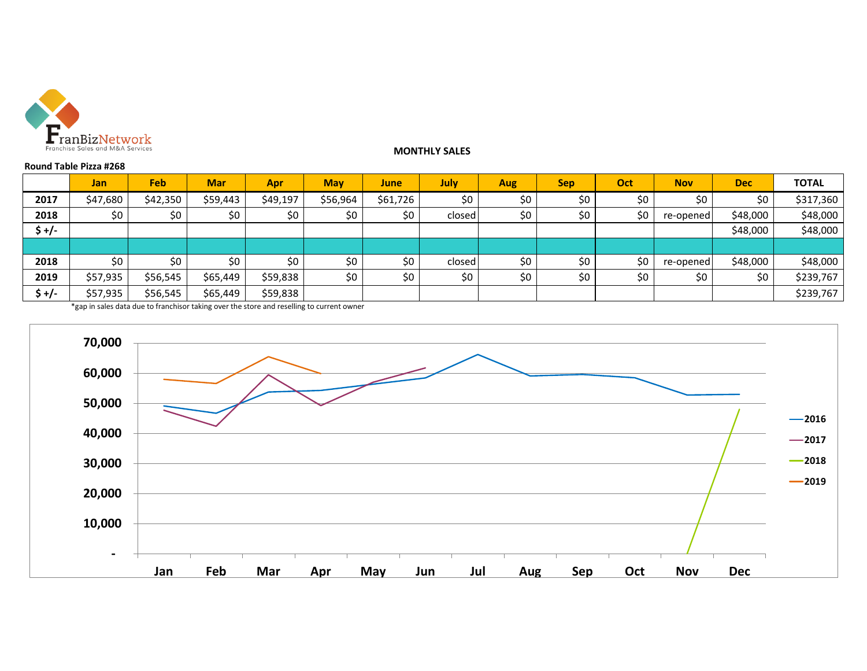

**Round Table Pizza #268**

#### **MONTHLY SALES**

|        | <b>Jan</b> | Feb.     | <b>Mar</b> | Apr      | <b>May</b> | June     | July   | Aug   | <b>Sep</b> | Oct | <b>Nov</b> | <b>Dec</b> | <b>TOTAL</b> |
|--------|------------|----------|------------|----------|------------|----------|--------|-------|------------|-----|------------|------------|--------------|
| 2017   | \$47,680   | \$42,350 | \$59,443   | \$49,197 | \$56,964   | \$61,726 | \$0    | \$0   | \$0        | \$0 | \$0        | \$0        | \$317,360    |
| 2018   | \$0        | \$0      | \$0        | \$0      | \$0        | \$0      | closed | \$0   | \$0        | \$0 | re-opened  | \$48,000   | \$48,000     |
| $$+/-$ |            |          |            |          |            |          |        |       |            |     |            | \$48,000   | \$48,000     |
|        |            |          |            |          |            |          |        |       |            |     |            |            |              |
| 2018   | \$0        | \$0\$    | \$0        | \$0      | \$0        | \$0      | closed | \$0\$ | \$0        | \$0 | re-opened  | \$48,000   | \$48,000     |
| 2019   | \$57,935   | \$56,545 | \$65,449   | \$59,838 | \$0        | \$0      | \$0    | \$0\$ | \$0        | \$0 | \$0        | \$0        | \$239,767    |
| \$+/-  | \$57,935   | \$56,545 | \$65,449   | \$59,838 |            |          |        |       |            |     |            |            | \$239,767    |

\*gap in sales data due to franchisor taking over the store and reselling to current owner